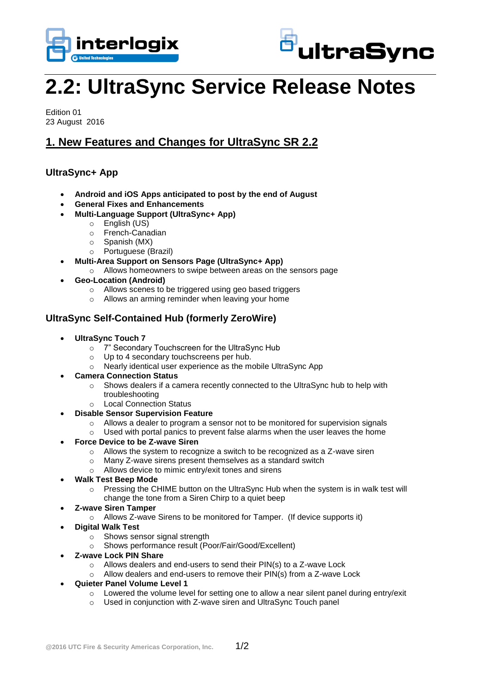



# **2.2: UltraSync Service Release Notes**

Edition 01 23 August 2016

## **1. New Features and Changes for UltraSync SR 2.2**

#### **UltraSync+ App**

- **Android and iOS Apps anticipated to post by the end of August**
- **General Fixes and Enhancements**
- **Multi-Language Support (UltraSync+ App)**
	- o English (US)
		- o French-Canadian
		- o Spanish (MX)
		- o Portuguese (Brazil)
- **Multi-Area Support on Sensors Page (UltraSync+ App)**
	- o Allows homeowners to swipe between areas on the sensors page
- **Geo-Location (Android)**
	- o Allows scenes to be triggered using geo based triggers
	- o Allows an arming reminder when leaving your home

### **UltraSync Self-Contained Hub (formerly ZeroWire)**

- **UltraSync Touch 7**
	- o 7" Secondary Touchscreen for the UltraSync Hub
	- Up to 4 secondary touchscreens per hub.
	- o Nearly identical user experience as the mobile UltraSync App
- **Camera Connection Status**
	- o Shows dealers if a camera recently connected to the UltraSync hub to help with troubleshooting
	- o Local Connection Status
- **Disable Sensor Supervision Feature**
	- $\circ$  Allows a dealer to program a sensor not to be monitored for supervision signals
	- $\circ$  Used with portal panics to prevent false alarms when the user leaves the home
- **Force Device to be Z-wave Siren**
	- o Allows the system to recognize a switch to be recognized as a Z-wave siren
	- o Many Z-wave sirens present themselves as a standard switch
	- o Allows device to mimic entry/exit tones and sirens
- **Walk Test Beep Mode**
	- $\circ$  Pressing the CHIME button on the UltraSync Hub when the system is in walk test will change the tone from a Siren Chirp to a quiet beep
- **Z-wave Siren Tamper**
	- o Allows Z-wave Sirens to be monitored for Tamper. (If device supports it)
- **Digital Walk Test**
	- o Shows sensor signal strength
	- o Shows performance result (Poor/Fair/Good/Excellent)
- **Z-wave Lock PIN Share**
	- o Allows dealers and end-users to send their PIN(s) to a Z-wave Lock
	- o Allow dealers and end-users to remove their PIN(s) from a Z-wave Lock
- **Quieter Panel Volume Level 1**
	- $\circ$  Lowered the volume level for setting one to allow a near silent panel during entry/exit
	- o Used in conjunction with Z-wave siren and UltraSync Touch panel